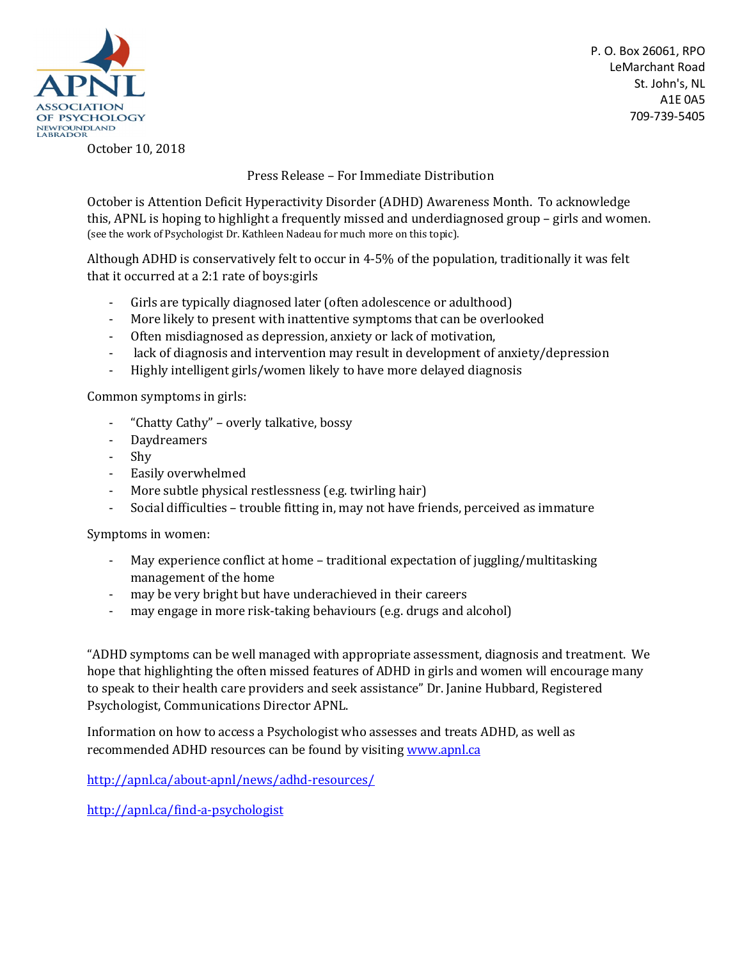

P. O. Box 26061, RPO LeMarchant Road St. John's, NL A1E 0A5 709-739-5405

October 10, 2018

Press Release – For Immediate Distribution

October is Attention Deficit Hyperactivity Disorder (ADHD) Awareness Month. To acknowledge this, APNL is hoping to highlight a frequently missed and underdiagnosed group – girls and women. (see the work of Psychologist Dr. Kathleen Nadeau for much more on this topic).

Although ADHD is conservatively felt to occur in 4-5% of the population, traditionally it was felt that it occurred at a 2:1 rate of boys:girls

- Girls are typically diagnosed later (often adolescence or adulthood)
- More likely to present with inattentive symptoms that can be overlooked
- Often misdiagnosed as depression, anxiety or lack of motivation,
- lack of diagnosis and intervention may result in development of anxiety/depression
- Highly intelligent girls/women likely to have more delayed diagnosis

Common symptoms in girls:

- "Chatty Cathy" overly talkative, bossy
- Daydreamers
- Shy
- Easily overwhelmed
- More subtle physical restlessness (e.g. twirling hair)
- Social difficulties trouble fitting in, may not have friends, perceived as immature

Symptoms in women:

- May experience conflict at home traditional expectation of juggling/multitasking management of the home
- may be very bright but have underachieved in their careers
- may engage in more risk-taking behaviours (e.g. drugs and alcohol)

"ADHD symptoms can be well managed with appropriate assessment, diagnosis and treatment. We hope that highlighting the often missed features of ADHD in girls and women will encourage many to speak to their health care providers and seek assistance" Dr. Janine Hubbard, Registered Psychologist, Communications Director APNL.

Information on how to access a Psychologist who assesses and treats ADHD, as well as recommended ADHD resources can be found by visiting www.apnl.ca

http://apnl.ca/about-apnl/news/adhd-resources/

http://apnl.ca/find-a-psychologist